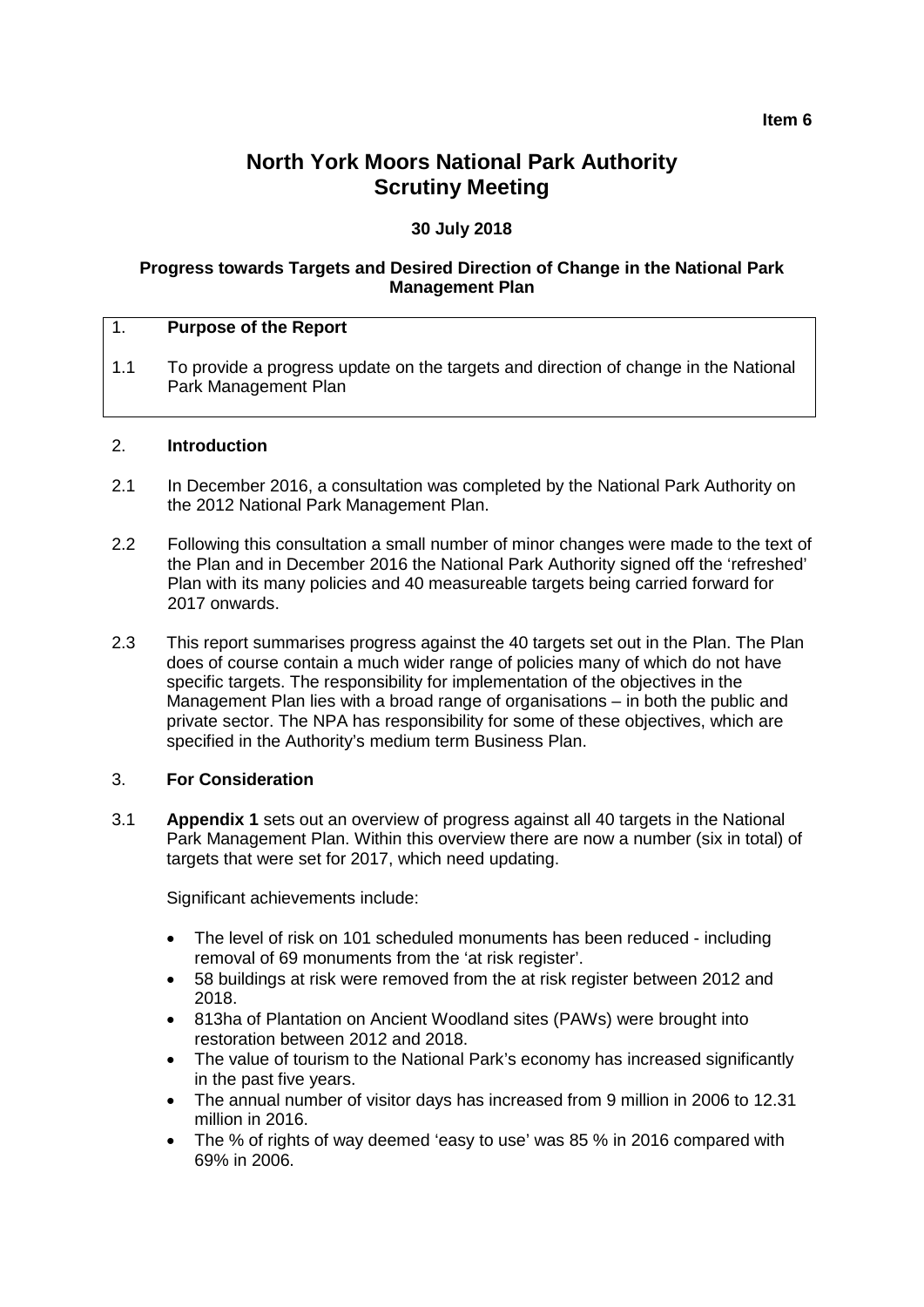# **North York Moors National Park Authority Scrutiny Meeting**

# **30 July 2018**

#### **Progress towards Targets and Desired Direction of Change in the National Park Management Plan**

#### 1. **Purpose of the Report**

1.1 To provide a progress update on the targets and direction of change in the National Park Management Plan

#### 2. **Introduction**

- 2.1 In December 2016, a consultation was completed by the National Park Authority on the 2012 National Park Management Plan.
- 2.2 Following this consultation a small number of minor changes were made to the text of the Plan and in December 2016 the National Park Authority signed off the 'refreshed' Plan with its many policies and 40 measureable targets being carried forward for 2017 onwards.
- 2.3 This report summarises progress against the 40 targets set out in the Plan. The Plan does of course contain a much wider range of policies many of which do not have specific targets. The responsibility for implementation of the objectives in the Management Plan lies with a broad range of organisations – in both the public and private sector. The NPA has responsibility for some of these objectives, which are specified in the Authority's medium term Business Plan.

# 3. **For Consideration**

3.1 **Appendix 1** sets out an overview of progress against all 40 targets in the National Park Management Plan. Within this overview there are now a number (six in total) of targets that were set for 2017, which need updating.

Significant achievements include:

- The level of risk on 101 scheduled monuments has been reduced including removal of 69 monuments from the 'at risk register'.
- 58 buildings at risk were removed from the at risk register between 2012 and 2018.
- 813ha of Plantation on Ancient Woodland sites (PAWs) were brought into restoration between 2012 and 2018.
- The value of tourism to the National Park's economy has increased significantly in the past five years.
- The annual number of visitor days has increased from 9 million in 2006 to 12.31 million in 2016.
- The % of rights of way deemed 'easy to use' was 85 % in 2016 compared with 69% in 2006.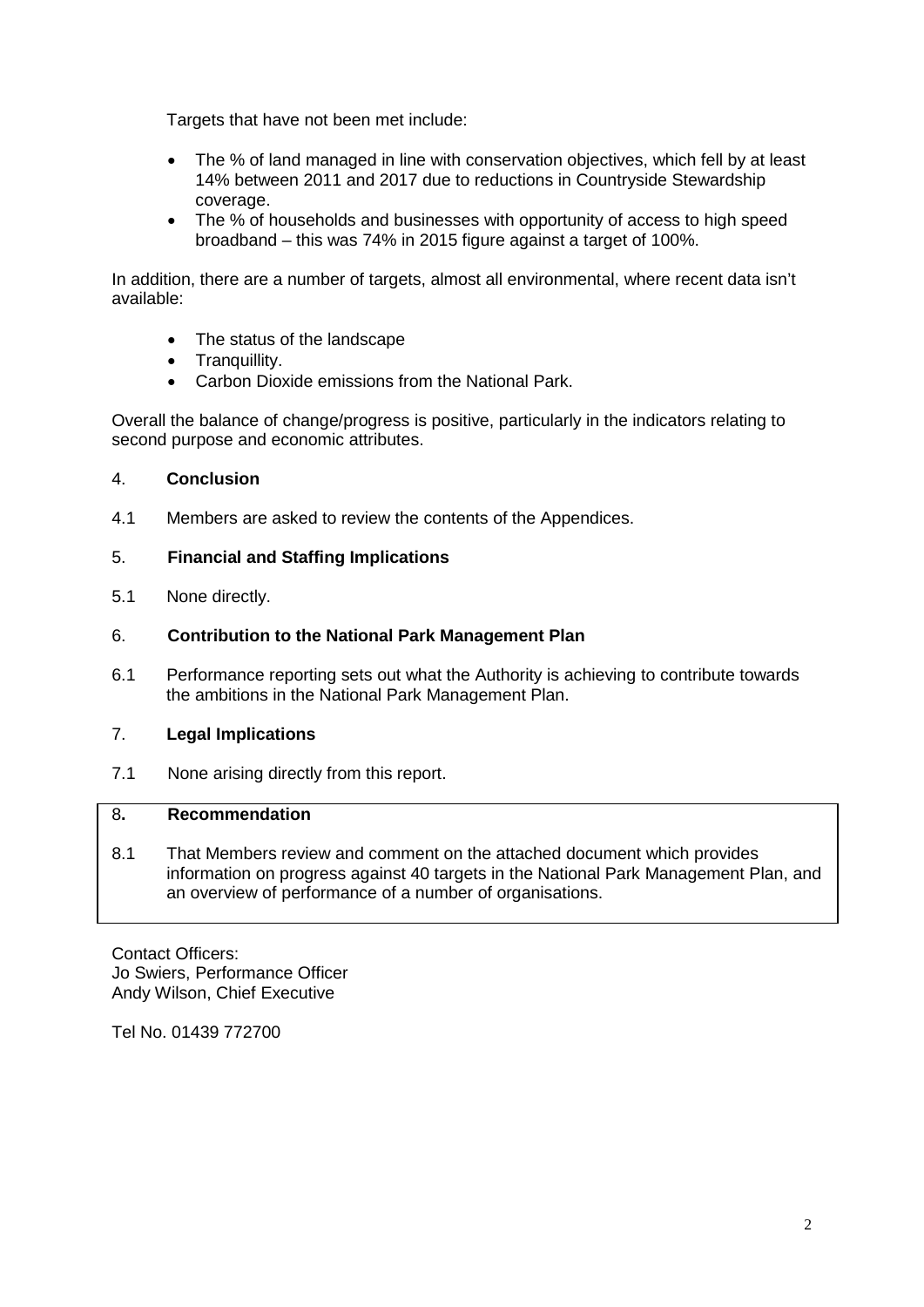Targets that have not been met include:

- The % of land managed in line with conservation objectives, which fell by at least 14% between 2011 and 2017 due to reductions in Countryside Stewardship coverage.
- The % of households and businesses with opportunity of access to high speed broadband – this was 74% in 2015 figure against a target of 100%.

In addition, there are a number of targets, almost all environmental, where recent data isn't available:

- The status of the landscape
- Tranquillity.
- Carbon Dioxide emissions from the National Park.

Overall the balance of change/progress is positive, particularly in the indicators relating to second purpose and economic attributes.

#### 4. **Conclusion**

4.1 Members are asked to review the contents of the Appendices.

## 5. **Financial and Staffing Implications**

5.1 None directly.

## 6. **Contribution to the National Park Management Plan**

6.1 Performance reporting sets out what the Authority is achieving to contribute towards the ambitions in the National Park Management Plan.

#### 7. **Legal Implications**

7.1 None arising directly from this report.

#### 8**. Recommendation**

8.1 That Members review and comment on the attached document which provides information on progress against 40 targets in the National Park Management Plan, and an overview of performance of a number of organisations.

Contact Officers: Jo Swiers, Performance Officer Andy Wilson, Chief Executive

Tel No. 01439 772700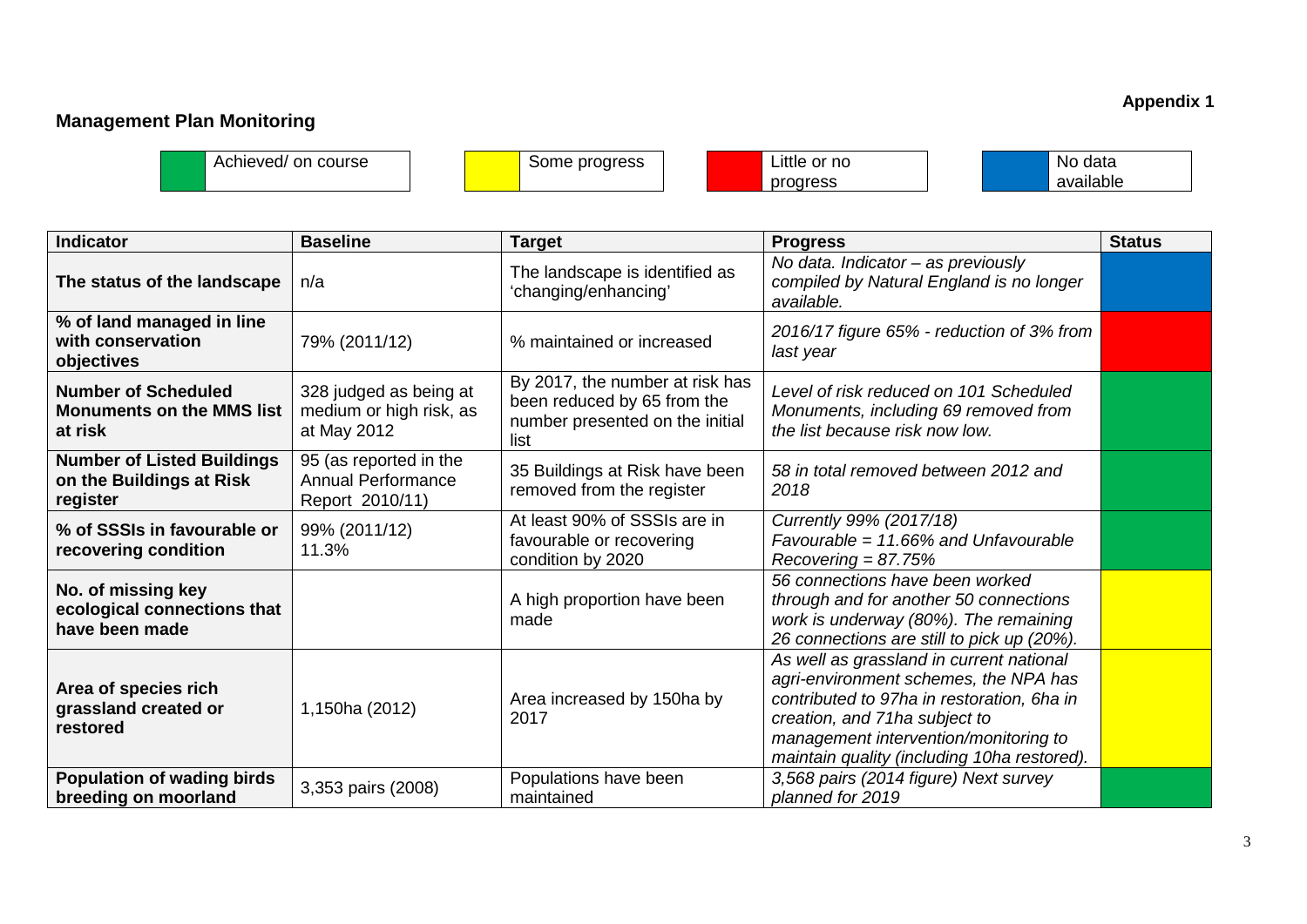# **Management Plan Monitoring**

**Appendix 1**

Achieved/ on course Some progress Little or no

progress

| No data   |
|-----------|
| available |

| <b>Indicator</b>                                                          | <b>Baseline</b>                                                        | <b>Target</b>                                                                                             | <b>Progress</b>                                                                                                                                                                                                                                          | <b>Status</b> |
|---------------------------------------------------------------------------|------------------------------------------------------------------------|-----------------------------------------------------------------------------------------------------------|----------------------------------------------------------------------------------------------------------------------------------------------------------------------------------------------------------------------------------------------------------|---------------|
| The status of the landscape                                               | n/a                                                                    | The landscape is identified as<br>'changing/enhancing'                                                    | No data. Indicator - as previously<br>compiled by Natural England is no longer<br>available.                                                                                                                                                             |               |
| % of land managed in line<br>with conservation<br>objectives              | 79% (2011/12)                                                          | % maintained or increased                                                                                 | 2016/17 figure 65% - reduction of 3% from<br>last year                                                                                                                                                                                                   |               |
| <b>Number of Scheduled</b><br><b>Monuments on the MMS list</b><br>at risk | 328 judged as being at<br>medium or high risk, as<br>at May 2012       | By 2017, the number at risk has<br>been reduced by 65 from the<br>number presented on the initial<br>list | Level of risk reduced on 101 Scheduled<br>Monuments, including 69 removed from<br>the list because risk now low.                                                                                                                                         |               |
| <b>Number of Listed Buildings</b><br>on the Buildings at Risk<br>register | 95 (as reported in the<br><b>Annual Performance</b><br>Report 2010/11) | 35 Buildings at Risk have been<br>removed from the register                                               | 58 in total removed between 2012 and<br>2018                                                                                                                                                                                                             |               |
| % of SSSIs in favourable or<br>recovering condition                       | 99% (2011/12)<br>11.3%                                                 | At least 90% of SSSIs are in<br>favourable or recovering<br>condition by 2020                             | Currently 99% (2017/18)<br>Favourable = $11.66\%$ and Unfavourable<br>$Recovering = 87.75%$                                                                                                                                                              |               |
| No. of missing key<br>ecological connections that<br>have been made       |                                                                        | A high proportion have been<br>made                                                                       | 56 connections have been worked<br>through and for another 50 connections<br>work is underway (80%). The remaining<br>26 connections are still to pick up (20%).                                                                                         |               |
| Area of species rich<br>grassland created or<br>restored                  | 1,150ha (2012)                                                         | Area increased by 150ha by<br>2017                                                                        | As well as grassland in current national<br>agri-environment schemes, the NPA has<br>contributed to 97ha in restoration, 6ha in<br>creation, and 71ha subject to<br>management intervention/monitoring to<br>maintain quality (including 10ha restored). |               |
| Population of wading birds<br>breeding on moorland                        | 3,353 pairs (2008)                                                     | Populations have been<br>maintained                                                                       | 3,568 pairs (2014 figure) Next survey<br>planned for 2019                                                                                                                                                                                                |               |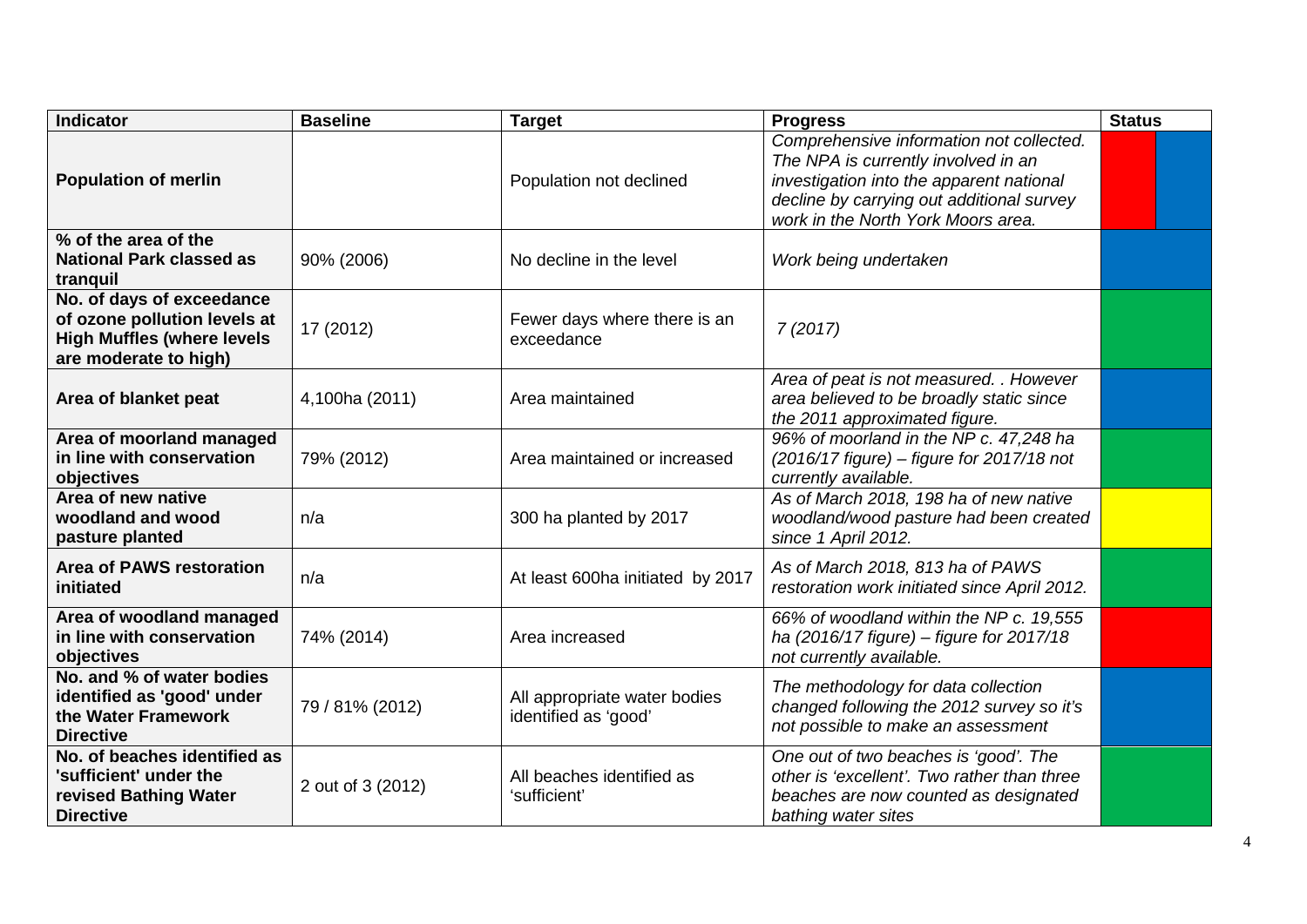| <b>Indicator</b>                                                                                                        | <b>Baseline</b>   | <b>Target</b>                                        | <b>Progress</b>                                                                                                                                                                                                | <b>Status</b> |
|-------------------------------------------------------------------------------------------------------------------------|-------------------|------------------------------------------------------|----------------------------------------------------------------------------------------------------------------------------------------------------------------------------------------------------------------|---------------|
| <b>Population of merlin</b>                                                                                             |                   | Population not declined                              | Comprehensive information not collected.<br>The NPA is currently involved in an<br>investigation into the apparent national<br>decline by carrying out additional survey<br>work in the North York Moors area. |               |
| % of the area of the<br><b>National Park classed as</b><br>tranquil                                                     | 90% (2006)        | No decline in the level                              | Work being undertaken                                                                                                                                                                                          |               |
| No. of days of exceedance<br>of ozone pollution levels at<br><b>High Muffles (where levels</b><br>are moderate to high) | 17 (2012)         | Fewer days where there is an<br>exceedance           | 7(2017)                                                                                                                                                                                                        |               |
| Area of blanket peat                                                                                                    | 4,100ha (2011)    | Area maintained                                      | Area of peat is not measured. . However<br>area believed to be broadly static since<br>the 2011 approximated figure.                                                                                           |               |
| Area of moorland managed<br>in line with conservation<br>objectives                                                     | 79% (2012)        | Area maintained or increased                         | 96% of moorland in the NP c. 47,248 ha<br>(2016/17 figure) - figure for 2017/18 not<br>currently available.                                                                                                    |               |
| Area of new native<br>woodland and wood<br>pasture planted                                                              | n/a               | 300 ha planted by 2017                               | As of March 2018, 198 ha of new native<br>woodland/wood pasture had been created<br>since 1 April 2012.                                                                                                        |               |
| <b>Area of PAWS restoration</b><br>initiated                                                                            | n/a               | At least 600ha initiated by 2017                     | As of March 2018, 813 ha of PAWS<br>restoration work initiated since April 2012.                                                                                                                               |               |
| Area of woodland managed<br>in line with conservation<br>objectives                                                     | 74% (2014)        | Area increased                                       | 66% of woodland within the NP c. 19,555<br>ha (2016/17 figure) - figure for 2017/18<br>not currently available.                                                                                                |               |
| No. and % of water bodies<br>identified as 'good' under<br>the Water Framework<br><b>Directive</b>                      | 79 / 81% (2012)   | All appropriate water bodies<br>identified as 'good' | The methodology for data collection<br>changed following the 2012 survey so it's<br>not possible to make an assessment                                                                                         |               |
| No. of beaches identified as<br>'sufficient' under the<br>revised Bathing Water<br><b>Directive</b>                     | 2 out of 3 (2012) | All beaches identified as<br>'sufficient'            | One out of two beaches is 'good'. The<br>other is 'excellent'. Two rather than three<br>beaches are now counted as designated<br>bathing water sites                                                           |               |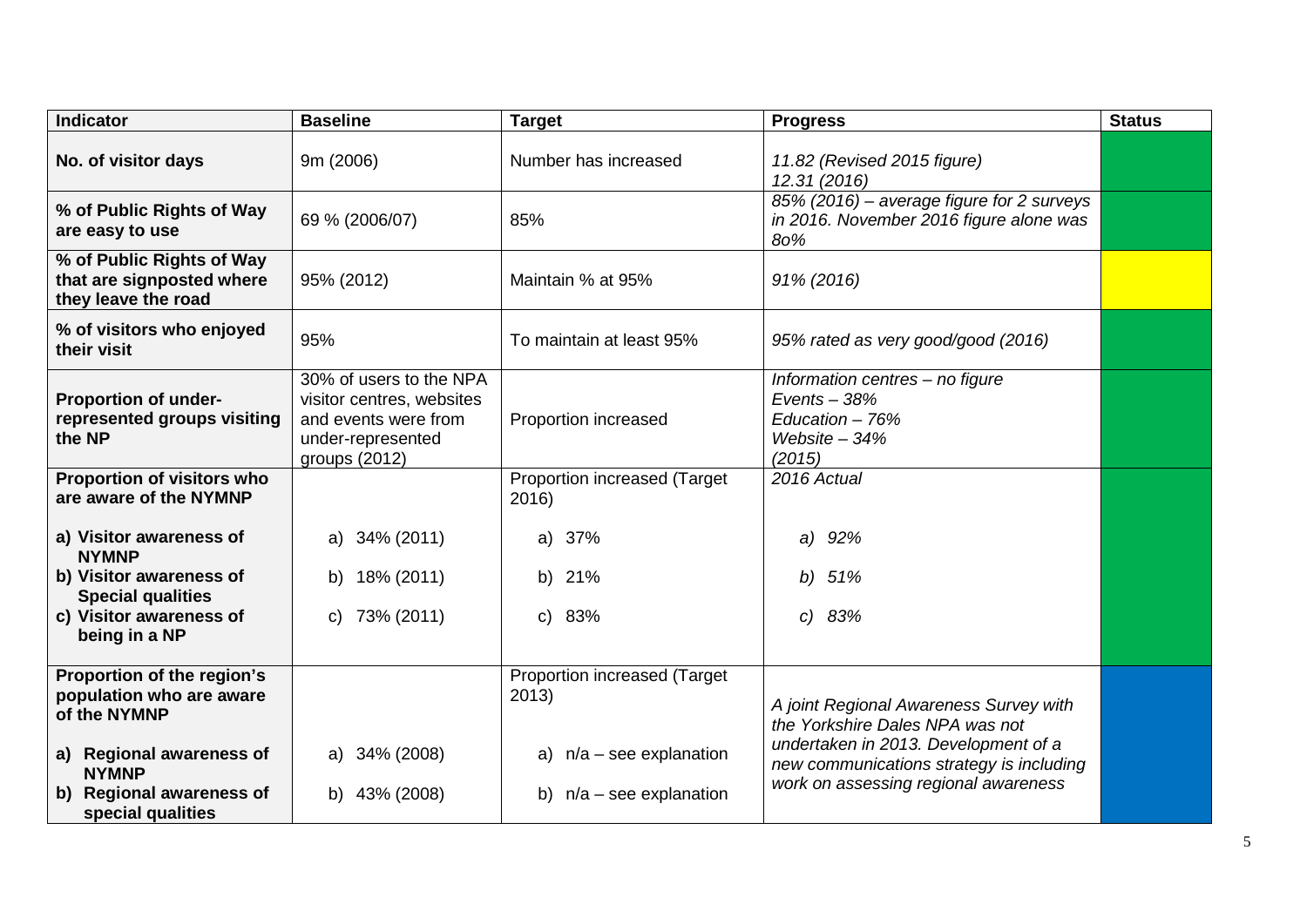| <b>Indicator</b>                                                              | <b>Baseline</b>                                                                                                    | <b>Target</b>                         | <b>Progress</b>                                                                                                          | <b>Status</b> |
|-------------------------------------------------------------------------------|--------------------------------------------------------------------------------------------------------------------|---------------------------------------|--------------------------------------------------------------------------------------------------------------------------|---------------|
| No. of visitor days                                                           | 9m (2006)                                                                                                          | Number has increased                  | 11.82 (Revised 2015 figure)<br>12.31 (2016)                                                                              |               |
| % of Public Rights of Way<br>are easy to use                                  | 69 % (2006/07)                                                                                                     | 85%                                   | 85% (2016) – average figure for 2 surveys<br>in 2016. November 2016 figure alone was<br>80%                              |               |
| % of Public Rights of Way<br>that are signposted where<br>they leave the road | 95% (2012)                                                                                                         | Maintain % at 95%                     | 91% (2016)                                                                                                               |               |
| % of visitors who enjoyed<br>their visit                                      | 95%                                                                                                                | To maintain at least 95%              | 95% rated as very good/good (2016)                                                                                       |               |
| Proportion of under-<br>represented groups visiting<br>the NP                 | 30% of users to the NPA<br>visitor centres, websites<br>and events were from<br>under-represented<br>groups (2012) | Proportion increased                  | Information centres - no figure<br>Events $-38%$<br>Education $-76%$<br>Website $-34%$<br>(2015)                         |               |
| Proportion of visitors who<br>are aware of the NYMNP                          |                                                                                                                    | Proportion increased (Target<br>2016) | 2016 Actual                                                                                                              |               |
| a) Visitor awareness of<br><b>NYMNP</b>                                       | a) 34% (2011)                                                                                                      | 37%<br>a)                             | 92%<br>a)                                                                                                                |               |
| b) Visitor awareness of<br><b>Special qualities</b>                           | 18% (2011)<br>b)                                                                                                   | b) 21%                                | 51%<br>b)                                                                                                                |               |
| c) Visitor awareness of<br>being in a NP                                      | 73% (2011)<br>C)                                                                                                   | c) 83%                                | c) 83%                                                                                                                   |               |
| Proportion of the region's<br>population who are aware<br>of the NYMNP        |                                                                                                                    | Proportion increased (Target<br>2013) | A joint Regional Awareness Survey with<br>the Yorkshire Dales NPA was not                                                |               |
| a) Regional awareness of<br><b>NYMNP</b>                                      | a) 34% (2008)                                                                                                      | $n/a$ – see explanation<br>a)         | undertaken in 2013. Development of a<br>new communications strategy is including<br>work on assessing regional awareness |               |
| b) Regional awareness of<br>special qualities                                 | b) 43% (2008)                                                                                                      | $n/a$ – see explanation<br>b)         |                                                                                                                          |               |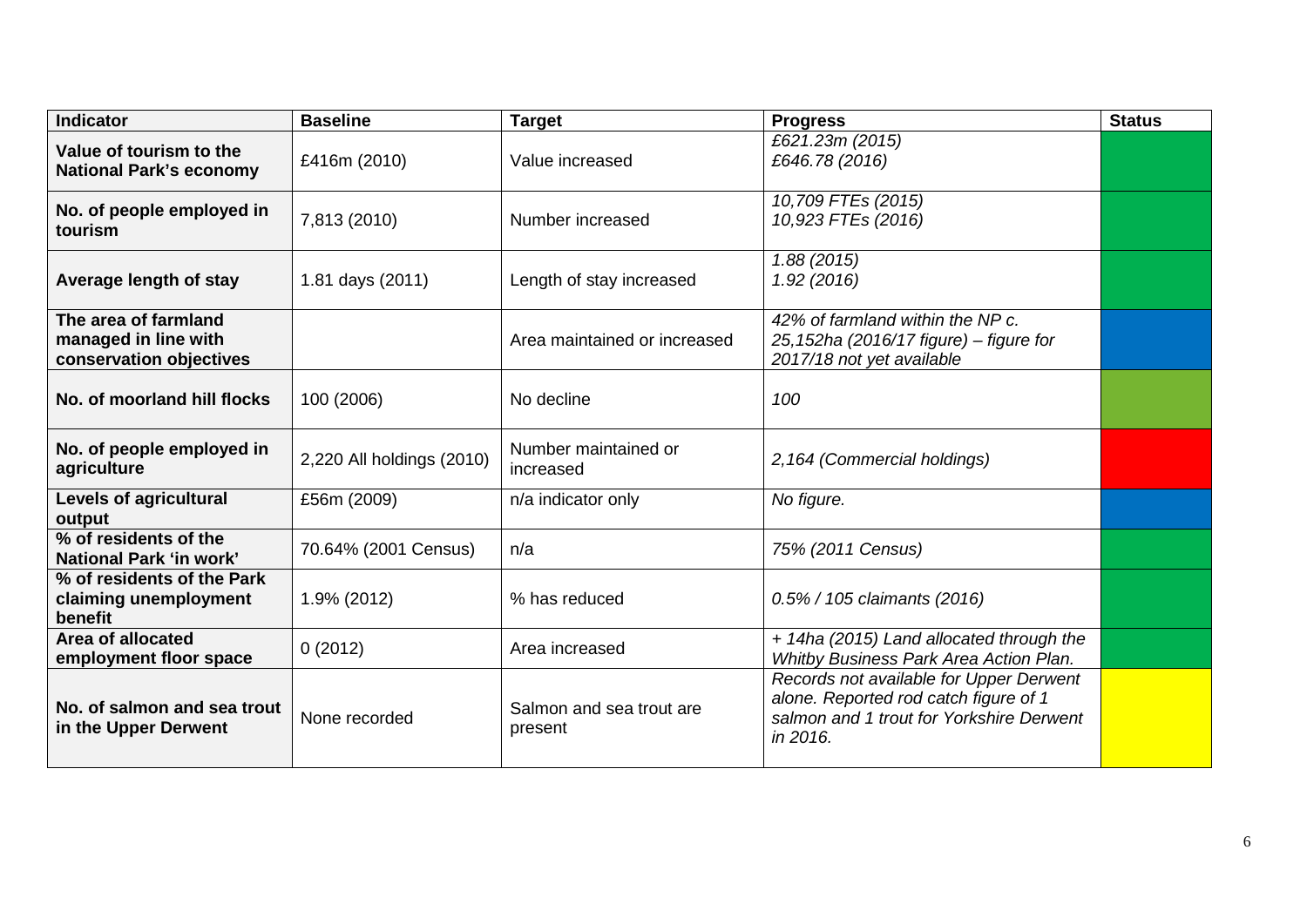| <b>Indicator</b>                                                        | <b>Baseline</b>           | <b>Target</b>                       | <b>Progress</b>                                                                                                                          | <b>Status</b> |
|-------------------------------------------------------------------------|---------------------------|-------------------------------------|------------------------------------------------------------------------------------------------------------------------------------------|---------------|
| Value of tourism to the<br><b>National Park's economy</b>               | £416m (2010)              | Value increased                     | £621.23m (2015)<br>£646.78 (2016)                                                                                                        |               |
| No. of people employed in<br>tourism                                    | 7,813 (2010)              | Number increased                    | 10,709 FTEs (2015)<br>10,923 FTEs (2016)                                                                                                 |               |
| Average length of stay                                                  | 1.81 days (2011)          | Length of stay increased            | 1.88(2015)<br>1.92(2016)                                                                                                                 |               |
| The area of farmland<br>managed in line with<br>conservation objectives |                           | Area maintained or increased        | 42% of farmland within the NP c.<br>25,152ha (2016/17 figure) - figure for<br>2017/18 not yet available                                  |               |
| No. of moorland hill flocks                                             | 100 (2006)                | No decline                          | 100                                                                                                                                      |               |
| No. of people employed in<br>agriculture                                | 2,220 All holdings (2010) | Number maintained or<br>increased   | 2,164 (Commercial holdings)                                                                                                              |               |
| Levels of agricultural<br>output                                        | £56m (2009)               | n/a indicator only                  | No figure.                                                                                                                               |               |
| % of residents of the<br>National Park 'in work'                        | 70.64% (2001 Census)      | n/a                                 | 75% (2011 Census)                                                                                                                        |               |
| % of residents of the Park<br>claiming unemployment<br>benefit          | 1.9% (2012)               | % has reduced                       | 0.5% / 105 claimants (2016)                                                                                                              |               |
| Area of allocated<br>employment floor space                             | 0(2012)                   | Area increased                      | + 14ha (2015) Land allocated through the<br>Whitby Business Park Area Action Plan.                                                       |               |
| No. of salmon and sea trout<br>in the Upper Derwent                     | None recorded             | Salmon and sea trout are<br>present | Records not available for Upper Derwent<br>alone. Reported rod catch figure of 1<br>salmon and 1 trout for Yorkshire Derwent<br>in 2016. |               |